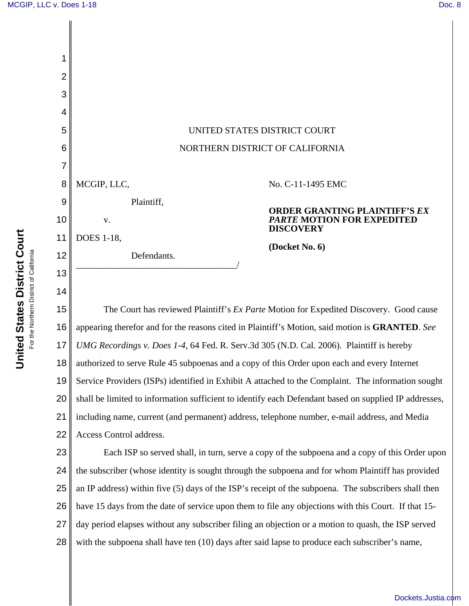

**United States District Court United States District Court** For the Northern District of California For the Northern District of California